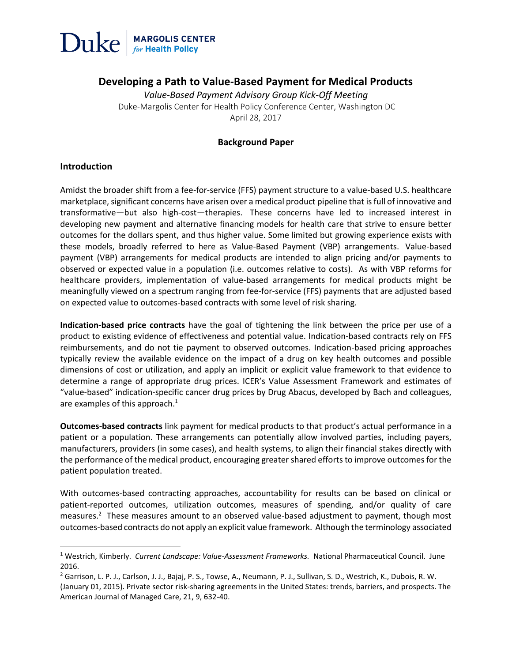

# **Developing a Path to Value-Based Payment for Medical Products**

*Value-Based Payment Advisory Group Kick-Off Meeting*  Duke-Margolis Center for Health Policy Conference Center, Washington DC April 28, 2017

#### **Background Paper**

#### **Introduction**

l

Amidst the broader shift from a fee-for-service (FFS) payment structure to a value-based U.S. healthcare marketplace, significant concerns have arisen over a medical product pipeline that is full of innovative and transformative—but also high-cost—therapies. These concerns have led to increased interest in developing new payment and alternative financing models for health care that strive to ensure better outcomes for the dollars spent, and thus higher value. Some limited but growing experience exists with these models, broadly referred to here as Value-Based Payment (VBP) arrangements. Value-based payment (VBP) arrangements for medical products are intended to align pricing and/or payments to observed or expected value in a population (i.e. outcomes relative to costs). As with VBP reforms for healthcare providers, implementation of value-based arrangements for medical products might be meaningfully viewed on a spectrum ranging from fee-for-service (FFS) payments that are adjusted based on expected value to outcomes-based contracts with some level of risk sharing.

**Indication-based price contracts** have the goal of tightening the link between the price per use of a product to existing evidence of effectiveness and potential value. Indication-based contracts rely on FFS reimbursements, and do not tie payment to observed outcomes. Indication-based pricing approaches typically review the available evidence on the impact of a drug on key health outcomes and possible dimensions of cost or utilization, and apply an implicit or explicit value framework to that evidence to determine a range of appropriate drug prices. ICER's Value Assessment Framework and estimates of "value-based" indication-specific cancer drug prices by Drug Abacus, developed by Bach and colleagues, are examples of this approach.<sup>1</sup>

**Outcomes-based contracts** link payment for medical products to that product's actual performance in a patient or a population. These arrangements can potentially allow involved parties, including payers, manufacturers, providers (in some cases), and health systems, to align their financial stakes directly with the performance of the medical product, encouraging greater shared efforts to improve outcomes for the patient population treated.

With outcomes-based contracting approaches, accountability for results can be based on clinical or patient-reported outcomes, utilization outcomes, measures of spending, and/or quality of care measures.<sup>2</sup> These measures amount to an observed value-based adjustment to payment, though most outcomes-based contracts do not apply an explicit value framework. Although the terminology associated

<sup>1</sup> Westrich, Kimberly. *Current Landscape: Value-Assessment Frameworks.* National Pharmaceutical Council. June 2016.

<sup>2</sup> Garrison, L. P. J., Carlson, J. J., Bajaj, P. S., Towse, A., Neumann, P. J., Sullivan, S. D., Westrich, K., Dubois, R. W. (January 01, 2015). Private sector risk-sharing agreements in the United States: trends, barriers, and prospects. The American Journal of Managed Care, 21, 9, 632-40.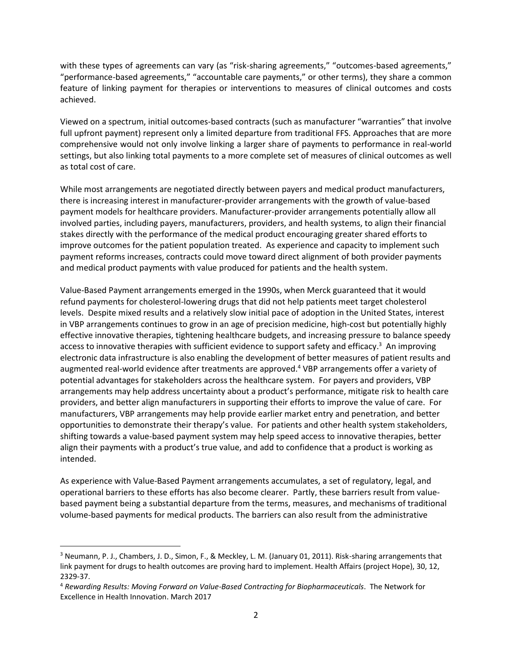with these types of agreements can vary (as "risk-sharing agreements," "outcomes-based agreements," "performance-based agreements," "accountable care payments," or other terms), they share a common feature of linking payment for therapies or interventions to measures of clinical outcomes and costs achieved.

Viewed on a spectrum, initial outcomes-based contracts (such as manufacturer "warranties" that involve full upfront payment) represent only a limited departure from traditional FFS. Approaches that are more comprehensive would not only involve linking a larger share of payments to performance in real-world settings, but also linking total payments to a more complete set of measures of clinical outcomes as well as total cost of care.

While most arrangements are negotiated directly between payers and medical product manufacturers, there is increasing interest in manufacturer-provider arrangements with the growth of value-based payment models for healthcare providers. Manufacturer-provider arrangements potentially allow all involved parties, including payers, manufacturers, providers, and health systems, to align their financial stakes directly with the performance of the medical product encouraging greater shared efforts to improve outcomes for the patient population treated. As experience and capacity to implement such payment reforms increases, contracts could move toward direct alignment of both provider payments and medical product payments with value produced for patients and the health system.

Value-Based Payment arrangements emerged in the 1990s, when Merck guaranteed that it would refund payments for cholesterol-lowering drugs that did not help patients meet target cholesterol levels. Despite mixed results and a relatively slow initial pace of adoption in the United States, interest in VBP arrangements continues to grow in an age of precision medicine, high-cost but potentially highly effective innovative therapies, tightening healthcare budgets, and increasing pressure to balance speedy access to innovative therapies with sufficient evidence to support safety and efficacy.<sup>3</sup> An improving electronic data infrastructure is also enabling the development of better measures of patient results and augmented real-world evidence after treatments are approved.<sup>4</sup> VBP arrangements offer a variety of potential advantages for stakeholders across the healthcare system. For payers and providers, VBP arrangements may help address uncertainty about a product's performance, mitigate risk to health care providers, and better align manufacturers in supporting their efforts to improve the value of care. For manufacturers, VBP arrangements may help provide earlier market entry and penetration, and better opportunities to demonstrate their therapy's value. For patients and other health system stakeholders, shifting towards a value-based payment system may help speed access to innovative therapies, better align their payments with a product's true value, and add to confidence that a product is working as intended.

As experience with Value-Based Payment arrangements accumulates, a set of regulatory, legal, and operational barriers to these efforts has also become clearer. Partly, these barriers result from valuebased payment being a substantial departure from the terms, measures, and mechanisms of traditional volume-based payments for medical products. The barriers can also result from the administrative

<sup>3</sup> Neumann, P. J., Chambers, J. D., Simon, F., & Meckley, L. M. (January 01, 2011). Risk-sharing arrangements that link payment for drugs to health outcomes are proving hard to implement. Health Affairs (project Hope), 30, 12, 2329-37.

<sup>4</sup> *Rewarding Results: Moving Forward on Value-Based Contracting for Biopharmaceuticals*. The Network for Excellence in Health Innovation. March 2017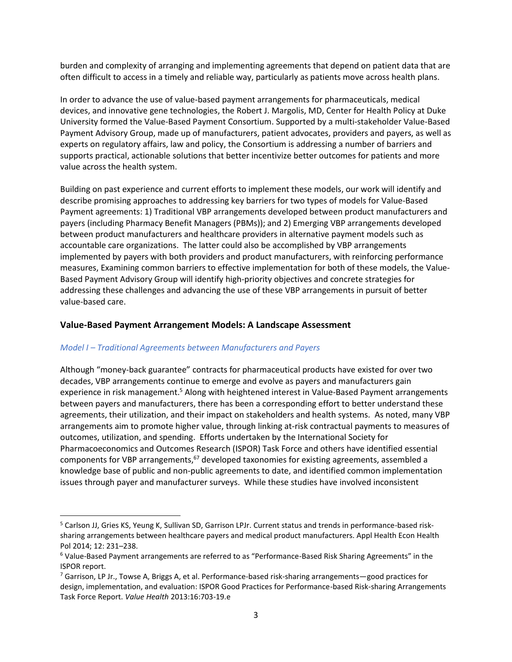burden and complexity of arranging and implementing agreements that depend on patient data that are often difficult to access in a timely and reliable way, particularly as patients move across health plans.

In order to advance the use of value-based payment arrangements for pharmaceuticals, medical devices, and innovative gene technologies, the Robert J. Margolis, MD, Center for Health Policy at Duke University formed the Value-Based Payment Consortium. Supported by a multi-stakeholder Value-Based Payment Advisory Group, made up of manufacturers, patient advocates, providers and payers, as well as experts on regulatory affairs, law and policy, the Consortium is addressing a number of barriers and supports practical, actionable solutions that better incentivize better outcomes for patients and more value across the health system.

Building on past experience and current efforts to implement these models, our work will identify and describe promising approaches to addressing key barriers for two types of models for Value-Based Payment agreements: 1) Traditional VBP arrangements developed between product manufacturers and payers (including Pharmacy Benefit Managers (PBMs)); and 2) Emerging VBP arrangements developed between product manufacturers and healthcare providers in alternative payment models such as accountable care organizations. The latter could also be accomplished by VBP arrangements implemented by payers with both providers and product manufacturers, with reinforcing performance measures, Examining common barriers to effective implementation for both of these models, the Value-Based Payment Advisory Group will identify high-priority objectives and concrete strategies for addressing these challenges and advancing the use of these VBP arrangements in pursuit of better value-based care.

### **Value-Based Payment Arrangement Models: A Landscape Assessment**

# *Model I – Traditional Agreements between Manufacturers and Payers*

 $\overline{\phantom{a}}$ 

Although "money-back guarantee" contracts for pharmaceutical products have existed for over two decades, VBP arrangements continue to emerge and evolve as payers and manufacturers gain experience in risk management.<sup>5</sup> Along with heightened interest in Value-Based Payment arrangements between payers and manufacturers, there has been a corresponding effort to better understand these agreements, their utilization, and their impact on stakeholders and health systems. As noted, many VBP arrangements aim to promote higher value, through linking at-risk contractual payments to measures of outcomes, utilization, and spending. Efforts undertaken by the International Society for Pharmacoeconomics and Outcomes Research (ISPOR) Task Force and others have identified essential components for VBP arrangements,<sup>67</sup> developed taxonomies for existing agreements, assembled a knowledge base of public and non-public agreements to date, and identified common implementation issues through payer and manufacturer surveys. While these studies have involved inconsistent

<sup>5</sup> Carlson JJ, Gries KS, Yeung K, Sullivan SD, Garrison LPJr. Current status and trends in performance-based risksharing arrangements between healthcare payers and medical product manufacturers. Appl Health Econ Health Pol 2014; 12: 231–238.

<sup>6</sup> Value-Based Payment arrangements are referred to as "Performance-Based Risk Sharing Agreements" in the ISPOR report.

<sup>7</sup> Garrison, LP Jr., Towse A, Briggs A, et al. Performance-based risk-sharing arrangements—good practices for design, implementation, and evaluation: ISPOR Good Practices for Performance-based Risk-sharing Arrangements Task Force Report. *Value Health* 2013:16:703-19.e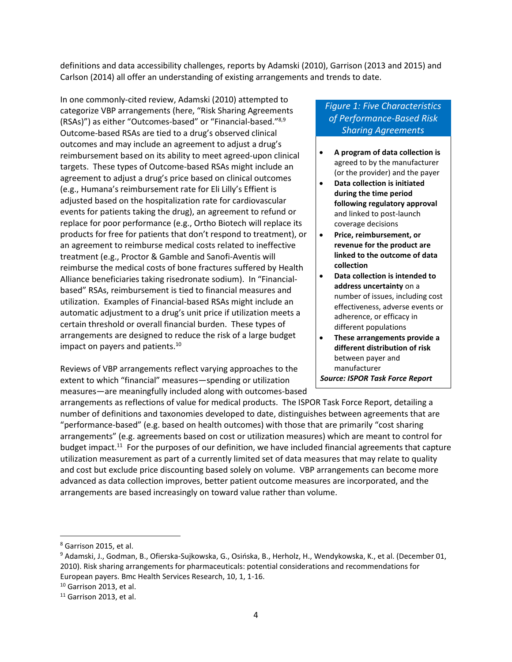definitions and data accessibility challenges, reports by Adamski (2010), Garrison (2013 and 2015) and Carlson (2014) all offer an understanding of existing arrangements and trends to date.

In one commonly-cited review, Adamski (2010) attempted to categorize VBP arrangements (here, "Risk Sharing Agreements (RSAs)") as either "Outcomes-based" or "Financial-based."<sup>8,9</sup> Outcome-based RSAs are tied to a drug's observed clinical outcomes and may include an agreement to adjust a drug's reimbursement based on its ability to meet agreed-upon clinical targets. These types of Outcome-based RSAs might include an agreement to adjust a drug's price based on clinical outcomes (e.g., Humana's reimbursement rate for Eli Lilly's Effient is adjusted based on the hospitalization rate for cardiovascular events for patients taking the drug), an agreement to refund or replace for poor performance (e.g., Ortho Biotech will replace its products for free for patients that don't respond to treatment), or an agreement to reimburse medical costs related to ineffective treatment (e.g., Proctor & Gamble and Sanofi-Aventis will reimburse the medical costs of bone fractures suffered by Health Alliance beneficiaries taking risedronate sodium). In "Financialbased" RSAs, reimbursement is tied to financial measures and utilization. Examples of Financial-based RSAs might include an automatic adjustment to a drug's unit price if utilization meets a certain threshold or overall financial burden. These types of arrangements are designed to reduce the risk of a large budget impact on payers and patients.<sup>10</sup>

Reviews of VBP arrangements reflect varying approaches to the extent to which "financial" measures—spending or utilization measures—are meaningfully included along with outcomes-based

# *Figure 1: Five Characteristics of Performance-Based Risk Sharing Agreements*

- **A program of data collection is**  agreed to by the manufacturer (or the provider) and the payer
- **Data collection is initiated during the time period following regulatory approval**  and linked to post-launch coverage decisions
- **Price, reimbursement, or revenue for the product are linked to the outcome of data collection**
- **Data collection is intended to address uncertainty** on a number of issues, including cost effectiveness, adverse events or adherence, or efficacy in different populations
- **These arrangements provide a different distribution of risk**  between payer and manufacturer *Source: ISPOR Task Force Report*

arrangements as reflections of value for medical products. The ISPOR Task Force Report, detailing a number of definitions and taxonomies developed to date, distinguishes between agreements that are "performance-based" (e.g. based on health outcomes) with those that are primarily "cost sharing arrangements" (e.g. agreements based on cost or utilization measures) which are meant to control for budget impact.<sup>11</sup> For the purposes of our definition, we have included financial agreements that capture utilization measurement as part of a currently limited set of data measures that may relate to quality and cost but exclude price discounting based solely on volume. VBP arrangements can become more advanced as data collection improves, better patient outcome measures are incorporated, and the arrangements are based increasingly on toward value rather than volume.

 $\overline{a}$ 

 $10$  Garrison 2013, et al.

<sup>8</sup> Garrison 2015, et al.

<sup>9</sup> Adamski, J., Godman, B., Ofierska-Sujkowska, G., Osińska, B., Herholz, H., Wendykowska, K., et al. (December 01, 2010). Risk sharing arrangements for pharmaceuticals: potential considerations and recommendations for European payers. Bmc Health Services Research, 10, 1, 1-16.

<sup>&</sup>lt;sup>11</sup> Garrison 2013, et al.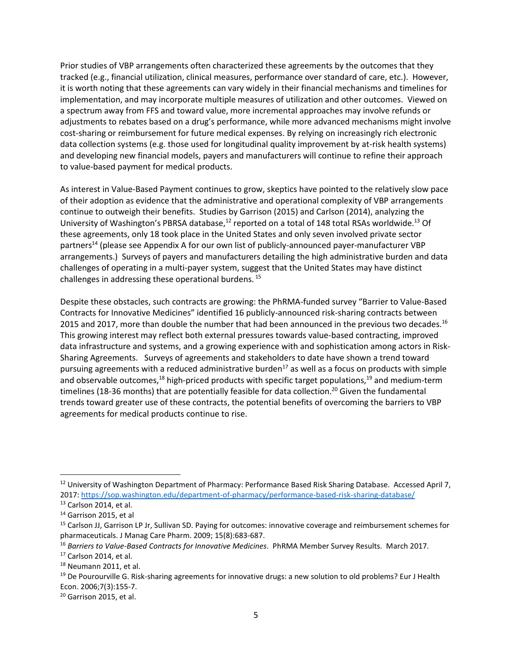Prior studies of VBP arrangements often characterized these agreements by the outcomes that they tracked (e.g., financial utilization, clinical measures, performance over standard of care, etc.). However, it is worth noting that these agreements can vary widely in their financial mechanisms and timelines for implementation, and may incorporate multiple measures of utilization and other outcomes. Viewed on a spectrum away from FFS and toward value, more incremental approaches may involve refunds or adjustments to rebates based on a drug's performance, while more advanced mechanisms might involve cost-sharing or reimbursement for future medical expenses. By relying on increasingly rich electronic data collection systems (e.g. those used for longitudinal quality improvement by at-risk health systems) and developing new financial models, payers and manufacturers will continue to refine their approach to value-based payment for medical products.

As interest in Value-Based Payment continues to grow, skeptics have pointed to the relatively slow pace of their adoption as evidence that the administrative and operational complexity of VBP arrangements continue to outweigh their benefits. Studies by Garrison (2015) and Carlson (2014), analyzing the University of Washington's PBRSA database,<sup>12</sup> reported on a total of 148 total RSAs worldwide.<sup>13</sup> Of these agreements, only 18 took place in the United States and only seven involved private sector partners<sup>14</sup> (please see Appendix A for our own list of publicly-announced payer-manufacturer VBP arrangements.) Surveys of payers and manufacturers detailing the high administrative burden and data challenges of operating in a multi-payer system, suggest that the United States may have distinct challenges in addressing these operational burdens. <sup>15</sup>

Despite these obstacles, such contracts are growing: the PhRMA-funded survey "Barrier to Value-Based Contracts for Innovative Medicines" identified 16 publicly-announced risk-sharing contracts between 2015 and 2017, more than double the number that had been announced in the previous two decades.<sup>16</sup> This growing interest may reflect both external pressures towards value-based contracting, improved data infrastructure and systems, and a growing experience with and sophistication among actors in Risk-Sharing Agreements. Surveys of agreements and stakeholders to date have shown a trend toward pursuing agreements with a reduced administrative burden<sup>17</sup> as well as a focus on products with simple and observable outcomes,<sup>18</sup> high-priced products with specific target populations,<sup>19</sup> and medium-term timelines (18-36 months) that are potentially feasible for data collection.<sup>20</sup> Given the fundamental trends toward greater use of these contracts, the potential benefits of overcoming the barriers to VBP agreements for medical products continue to rise.

<sup>&</sup>lt;sup>12</sup> University of Washington Department of Pharmacy: Performance Based Risk Sharing Database. Accessed April 7, 2017:<https://sop.washington.edu/department-of-pharmacy/performance-based-risk-sharing-database/>

<sup>&</sup>lt;sup>13</sup> Carlson 2014, et al.

<sup>14</sup> Garrison 2015, et al

<sup>15</sup> Carlson JJ, Garrison LP Jr, Sullivan SD. Paying for outcomes: innovative coverage and reimbursement schemes for pharmaceuticals. J Manag Care Pharm. 2009; 15(8):683-687.

<sup>16</sup> *Barriers to Value-Based Contracts for Innovative Medicines*. PhRMA Member Survey Results. March 2017.

<sup>17</sup> Carlson 2014, et al.

<sup>&</sup>lt;sup>18</sup> Neumann 2011, et al.

<sup>&</sup>lt;sup>19</sup> De Pourourville G. Risk-sharing agreements for innovative drugs: a new solution to old problems? Eur J Health Econ. 2006;7(3):155-7.

<sup>&</sup>lt;sup>20</sup> Garrison 2015, et al.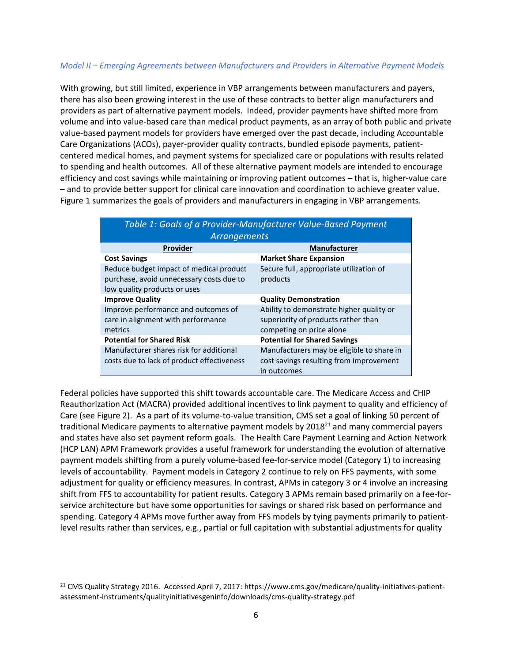### *Model II – Emerging Agreements between Manufacturers and Providers in Alternative Payment Models*

With growing, but still limited, experience in VBP arrangements between manufacturers and payers, there has also been growing interest in the use of these contracts to better align manufacturers and providers as part of alternative payment models. Indeed, provider payments have shifted more from volume and into value-based care than medical product payments, as an array of both public and private value-based payment models for providers have emerged over the past decade, including Accountable Care Organizations (ACOs), payer-provider quality contracts, bundled episode payments, patientcentered medical homes, and payment systems for specialized care or populations with results related to spending and health outcomes. All of these alternative payment models are intended to encourage efficiency and cost savings while maintaining or improving patient outcomes – that is, higher-value care – and to provide better support for clinical care innovation and coordination to achieve greater value. Figure 1 summarizes the goals of providers and manufacturers in engaging in VBP arrangements.

| Table 1: Goals of a Provider-Manufacturer Value-Based Payment |                                           |  |  |  |  |
|---------------------------------------------------------------|-------------------------------------------|--|--|--|--|
| Arrangements                                                  |                                           |  |  |  |  |
| <b>Provider</b>                                               | <b>Manufacturer</b>                       |  |  |  |  |
| <b>Cost Savings</b>                                           | <b>Market Share Expansion</b>             |  |  |  |  |
| Reduce budget impact of medical product                       | Secure full, appropriate utilization of   |  |  |  |  |
| purchase, avoid unnecessary costs due to                      | products                                  |  |  |  |  |
| low quality products or uses                                  |                                           |  |  |  |  |
| <b>Improve Quality</b>                                        | <b>Quality Demonstration</b>              |  |  |  |  |
| Improve performance and outcomes of                           | Ability to demonstrate higher quality or  |  |  |  |  |
| care in alignment with performance                            | superiority of products rather than       |  |  |  |  |
| metrics                                                       | competing on price alone                  |  |  |  |  |
| <b>Potential for Shared Risk</b>                              | <b>Potential for Shared Savings</b>       |  |  |  |  |
| Manufacturer shares risk for additional                       | Manufacturers may be eligible to share in |  |  |  |  |
| costs due to lack of product effectiveness                    | cost savings resulting from improvement   |  |  |  |  |
|                                                               | in outcomes                               |  |  |  |  |

Federal policies have supported this shift towards accountable care. The Medicare Access and CHIP Reauthorization Act (MACRA) provided additional incentives to link payment to quality and efficiency of Care (see Figure 2). As a part of its volume-to-value transition, CMS set a goal of linking 50 percent of traditional Medicare payments to alternative payment models by  $2018<sup>21</sup>$  and many commercial payers and states have also set payment reform goals. The Health Care Payment Learning and Action Network (HCP LAN) APM Framework provides a useful framework for understanding the evolution of alternative payment models shifting from a purely volume-based fee-for-service model (Category 1) to increasing levels of accountability. Payment models in Category 2 continue to rely on FFS payments, with some adjustment for quality or efficiency measures. In contrast, APMs in category 3 or 4 involve an increasing shift from FFS to accountability for patient results. Category 3 APMs remain based primarily on a fee-forservice architecture but have some opportunities for savings or shared risk based on performance and spending. Category 4 APMs move further away from FFS models by tying payments primarily to patientlevel results rather than services, e.g., partial or full capitation with substantial adjustments for quality

<sup>21</sup> CMS Quality Strategy 2016. Accessed April 7, 2017: https://www.cms.gov/medicare/quality-initiatives-patientassessment-instruments/qualityinitiativesgeninfo/downloads/cms-quality-strategy.pdf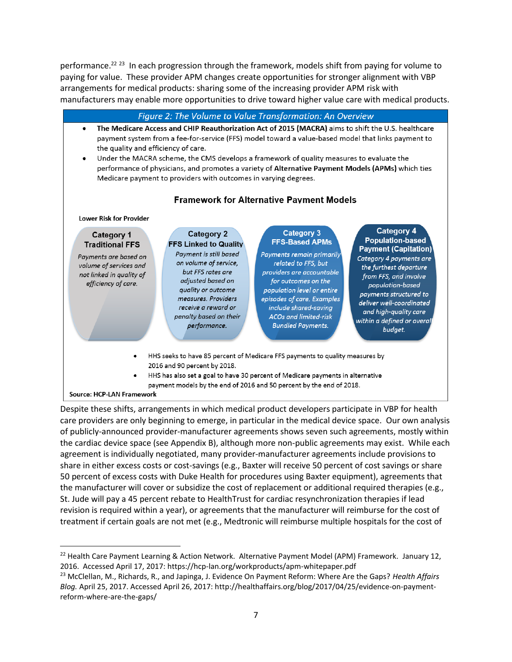performance.<sup>22 23</sup> In each progression through the framework, models shift from paying for volume to paying for value. These provider APM changes create opportunities for stronger alignment with VBP arrangements for medical products: sharing some of the increasing provider APM risk with manufacturers may enable more opportunities to drive toward higher value care with medical products.

#### Figure 2: The Volume to Value Transformation: An Overview

- The Medicare Access and CHIP Reauthorization Act of 2015 (MACRA) aims to shift the U.S. healthcare payment system from a fee-for-service (FFS) model toward a value-based model that links payment to the quality and efficiency of care.
- Under the MACRA scheme, the CMS develops a framework of quality measures to evaluate the performance of physicians, and promotes a variety of Alternative Payment Models (APMs) which ties Medicare payment to providers with outcomes in varying degrees.

#### Lower Risk for Provider **Category 4 Category 3** Category 2 **Category 1 Population-based FFS-Based APMs Traditional FFS FFS Linked to Quality Payment (Capitation)** Payment is still based Payments remain primarily Payments are based on Category 4 payments are on volume of service, related to FFS, but volume of services and the furthest departure but FFS rates are providers are accountable not linked in quality of from FFS, and involve for outcomes on the adjusted based on efficiency of care. population-based quality or outcome population level or entire payments structured to measures. Providers episodes of care. Examples deliver well-coordinated receive a reward or include shared-saving and high-quality care penalty based on their ACOs and limited-risk within a defined or overal performance. **Bundled Payments.** budaet. HHS seeks to have 85 percent of Medicare FFS payments to quality measures by 2016 and 90 percent by 2018. HHS has also set a goal to have 30 percent of Medicare payments in alternative payment models by the end of 2016 and 50 percent by the end of 2018. Source: HCP-LAN Framework

**Framework for Alternative Payment Models** 

Despite these shifts, arrangements in which medical product developers participate in VBP for health care providers are only beginning to emerge, in particular in the medical device space. Our own analysis of publicly-announced provider-manufacturer agreements shows seven such agreements, mostly within the cardiac device space (see Appendix B), although more non-public agreements may exist. While each agreement is individually negotiated, many provider-manufacturer agreements include provisions to share in either excess costs or cost-savings (e.g., Baxter will receive 50 percent of cost savings or share 50 percent of excess costs with Duke Health for procedures using Baxter equipment), agreements that the manufacturer will cover or subsidize the cost of replacement or additional required therapies (e.g., St. Jude will pay a 45 percent rebate to HealthTrust for cardiac resynchronization therapies if lead revision is required within a year), or agreements that the manufacturer will reimburse for the cost of treatment if certain goals are not met (e.g., Medtronic will reimburse multiple hospitals for the cost of

<sup>&</sup>lt;sup>22</sup> Health Care Payment Learning & Action Network. Alternative Payment Model (APM) Framework. January 12, 2016. Accessed April 17, 2017: https://hcp-lan.org/workproducts/apm-whitepaper.pdf

<sup>23</sup> McClellan, M., Richards, R., and Japinga, J. Evidence On Payment Reform: Where Are the Gaps? *Health Affairs Blog.* April 25, 2017. Accessed April 26, 2017: http://healthaffairs.org/blog/2017/04/25/evidence-on-paymentreform-where-are-the-gaps/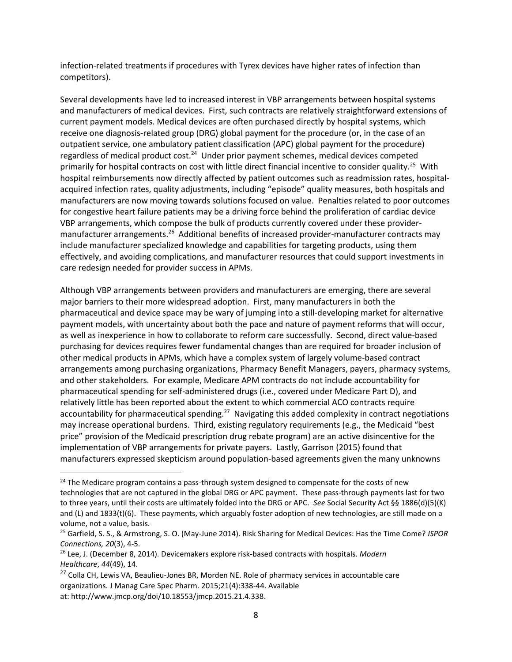infection-related treatments if procedures with Tyrex devices have higher rates of infection than competitors).

Several developments have led to increased interest in VBP arrangements between hospital systems and manufacturers of medical devices. First, such contracts are relatively straightforward extensions of current payment models. Medical devices are often purchased directly by hospital systems, which receive one diagnosis-related group (DRG) global payment for the procedure (or, in the case of an outpatient service, one ambulatory patient classification (APC) global payment for the procedure) regardless of medical product cost.<sup>24</sup> Under prior payment schemes, medical devices competed primarily for hospital contracts on cost with little direct financial incentive to consider quality.<sup>25</sup> With hospital reimbursements now directly affected by patient outcomes such as readmission rates, hospitalacquired infection rates, quality adjustments, including "episode" quality measures, both hospitals and manufacturers are now moving towards solutions focused on value. Penalties related to poor outcomes for congestive heart failure patients may be a driving force behind the proliferation of cardiac device VBP arrangements, which compose the bulk of products currently covered under these providermanufacturer arrangements.<sup>26</sup> Additional benefits of increased provider-manufacturer contracts may include manufacturer specialized knowledge and capabilities for targeting products, using them effectively, and avoiding complications, and manufacturer resources that could support investments in care redesign needed for provider success in APMs.

Although VBP arrangements between providers and manufacturers are emerging, there are several major barriers to their more widespread adoption. First, many manufacturers in both the pharmaceutical and device space may be wary of jumping into a still-developing market for alternative payment models, with uncertainty about both the pace and nature of payment reforms that will occur, as well as inexperience in how to collaborate to reform care successfully. Second, direct value-based purchasing for devices requires fewer fundamental changes than are required for broader inclusion of other medical products in APMs, which have a complex system of largely volume-based contract arrangements among purchasing organizations, Pharmacy Benefit Managers, payers, pharmacy systems, and other stakeholders. For example, Medicare APM contracts do not include accountability for pharmaceutical spending for self-administered drugs (i.e., covered under Medicare Part D), and relatively little has been reported about the extent to which commercial ACO contracts require accountability for pharmaceutical spending.<sup>27</sup> Navigating this added complexity in contract negotiations may increase operational burdens. Third, existing regulatory requirements (e.g., the Medicaid "best price" provision of the Medicaid prescription drug rebate program) are an active disincentive for the implementation of VBP arrangements for private payers. Lastly, Garrison (2015) found that manufacturers expressed skepticism around population-based agreements given the many unknowns

 $\overline{a}$ 

<sup>&</sup>lt;sup>24</sup> The Medicare program contains a pass-through system designed to compensate for the costs of new technologies that are not captured in the global DRG or APC payment. These pass-through payments last for two to three years, until their costs are ultimately folded into the DRG or APC. *See* Social Security Act §§ 1886(d)(5)(K) and (L) and 1833(t)(6). These payments, which arguably foster adoption of new technologies, are still made on a volume, not a value, basis.

<sup>25</sup> Garfield, S. S., & Armstrong, S. O. (May-June 2014). Risk Sharing for Medical Devices: Has the Time Come? *ISPOR Connections, 20*(3), 4-5.

<sup>26</sup> Lee, J. (December 8, 2014). Devicemakers explore risk-based contracts with hospitals. *Modern Healthcare*, *44*(49), 14.

<sup>&</sup>lt;sup>27</sup> Colla CH, Lewis VA, Beaulieu-Jones BR, Morden NE. Role of pharmacy services in accountable care organizations. J Manag Care Spec Pharm. 2015;21(4):338-44. Available

at: [http://www.jmcp.org/doi/10.18553/jmcp.2015.21.4.338.](http://www.jmcp.org/doi/10.18553/jmcp.2015.21.4.338)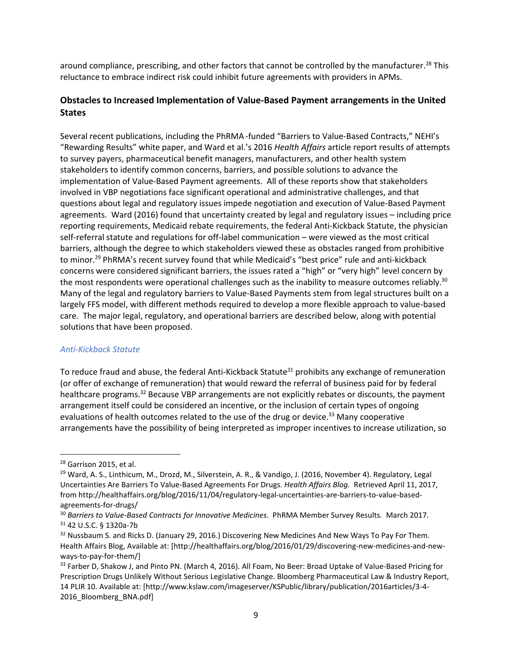around compliance, prescribing, and other factors that cannot be controlled by the manufacturer.<sup>28</sup> This reluctance to embrace indirect risk could inhibit future agreements with providers in APMs.

# **Obstacles to Increased Implementation of Value-Based Payment arrangements in the United States**

Several recent publications, including the PhRMA -funded "Barriers to Value-Based Contracts," NEHI's "Rewarding Results" white paper, and Ward et al.'s 2016 *Health Affairs* article report results of attempts to survey payers, pharmaceutical benefit managers, manufacturers, and other health system stakeholders to identify common concerns, barriers, and possible solutions to advance the implementation of Value-Based Payment agreements. All of these reports show that stakeholders involved in VBP negotiations face significant operational and administrative challenges, and that questions about legal and regulatory issues impede negotiation and execution of Value-Based Payment agreements. Ward (2016) found that uncertainty created by legal and regulatory issues – including price reporting requirements, Medicaid rebate requirements, the federal Anti-Kickback Statute, the physician self-referral statute and regulations for off-label communication – were viewed as the most critical barriers, although the degree to which stakeholders viewed these as obstacles ranged from prohibitive to minor.<sup>29</sup> PhRMA's recent survey found that while Medicaid's "best price" rule and anti-kickback concerns were considered significant barriers, the issues rated a "high" or "very high" level concern by the most respondents were operational challenges such as the inability to measure outcomes reliably.<sup>30</sup> Many of the legal and regulatory barriers to Value-Based Payments stem from legal structures built on a largely FFS model, with different methods required to develop a more flexible approach to value-based care. The major legal, regulatory, and operational barriers are described below, along with potential solutions that have been proposed.

#### *Anti-Kickback Statute*

To reduce fraud and abuse, the federal Anti-Kickback Statute<sup>31</sup> prohibits any exchange of remuneration (or offer of exchange of remuneration) that would reward the referral of business paid for by federal healthcare programs.<sup>32</sup> Because VBP arrangements are not explicitly rebates or discounts, the payment arrangement itself could be considered an incentive, or the inclusion of certain types of ongoing evaluations of health outcomes related to the use of the drug or device.<sup>33</sup> Many cooperative arrangements have the possibility of being interpreted as improper incentives to increase utilization, so

<sup>28</sup> Garrison 2015, et al.

<sup>&</sup>lt;sup>29</sup> Ward, A. S., Linthicum, M., Drozd, M., Silverstein, A. R., & Vandigo, J. (2016, November 4). Regulatory, Legal Uncertainties Are Barriers To Value-Based Agreements For Drugs. *Health Affairs Blog.* Retrieved April 11, 2017, from http://healthaffairs.org/blog/2016/11/04/regulatory-legal-uncertainties-are-barriers-to-value-basedagreements-for-drugs/

<sup>30</sup> *Barriers to Value-Based Contracts for Innovative Medicines*. PhRMA Member Survey Results. March 2017. <sup>31</sup> 42 U.S.C. § 1320a-7b

<sup>&</sup>lt;sup>32</sup> Nussbaum S. and Ricks D. (January 29, 2016.) Discovering New Medicines And New Ways To Pay For Them. Health Affairs Blog, Available at: [http://healthaffairs.org/blog/2016/01/29/discovering-new-medicines-and-newways-to-pay-for-them/]

<sup>33</sup> Farber D, Shakow J, and Pinto PN. (March 4, 2016). All Foam, No Beer: Broad Uptake of Value-Based Pricing for Prescription Drugs Unlikely Without Serious Legislative Change. Bloomberg Pharmaceutical Law & Industry Report, 14 PLIR 10. Available at: [http://www.kslaw.com/imageserver/KSPublic/library/publication/2016articles/3-4- 2016 Bloomberg BNA.pdf]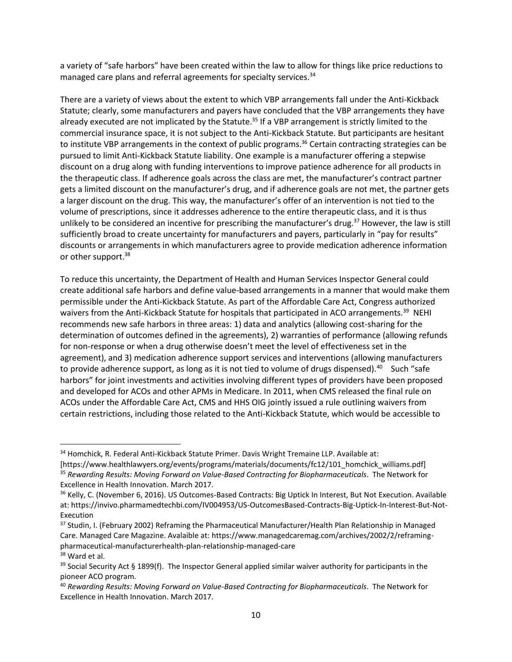a variety of "safe harbors" have been created within the law to allow for things like price reductions to managed care plans and referral agreements for specialty services.<sup>34</sup>

There are a variety of views about the extent to which VBP arrangements fall under the Anti-Kickback Statute; clearly, some manufacturers and payers have concluded that the VBP arrangements they have already executed are not implicated by the Statute.<sup>35</sup> If a VBP arrangement is strictly limited to the commercial insurance space, it is not subject to the Anti-Kickback Statute. But participants are hesitant to institute VBP arrangements in the context of public programs. <sup>36</sup> Certain contracting strategies can be pursued to limit Anti-Kickback Statute liability. One example is a manufacturer offering a stepwise discount on a drug along with funding interventions to improve patience adherence for all products in the therapeutic class. If adherence goals across the class are met, the manufacturer's contract partner gets a limited discount on the manufacturer's drug, and if adherence goals are not met, the partner gets a larger discount on the drug. This way, the manufacturer's offer of an intervention is not tied to the volume of prescriptions, since it addresses adherence to the entire therapeutic class, and it is thus unlikely to be considered an incentive for prescribing the manufacturer's drug.<sup>37</sup> However, the law is still sufficiently broad to create uncertainty for manufacturers and payers, particularly in "pay for results" discounts or arrangements in which manufacturers agree to provide medication adherence information or other support.<sup>38</sup>

To reduce this uncertainty, the Department of Health and Human Services Inspector General could create additional safe harbors and define value-based arrangements in a manner that would make them permissible under the Anti-Kickback Statute. As part of the Affordable Care Act, Congress authorized waivers from the Anti-Kickback Statute for hospitals that participated in ACO arrangements.<sup>39</sup> NEHI recommends new safe harbors in three areas: 1) data and analytics (allowing cost-sharing for the determination of outcomes defined in the agreements), 2) warranties of performance (allowing refunds for non-response or when a drug otherwise doesn't meet the level of effectiveness set in the agreement), and 3) medication adherence support services and interventions (allowing manufacturers to provide adherence support, as long as it is not tied to volume of drugs dispensed).<sup>40</sup> Such "safe harbors" for joint investments and activities involving different types of providers have been proposed and developed for ACOs and other APMs in Medicare. In 2011, when CMS released the final rule on ACOs under the Affordable Care Act, CMS and HHS OIG jointly issued a rule outlining waivers from certain restrictions, including those related to the Anti-Kickback Statute, which would be accessible to

<sup>34</sup> Homchick, R. Federal Anti-Kickback Statute Primer. Davis Wright Tremaine LLP. Available at:

<sup>[</sup>https://www.healthlawyers.org/events/programs/materials/documents/fc12/101\_homchick\_williams.pdf] <sup>35</sup> *Rewarding Results: Moving Forward on Value-Based Contracting for Biopharmaceuticals*. The Network for Excellence in Health Innovation. March 2017.

<sup>&</sup>lt;sup>36</sup> Kelly, C. (November 6, 2016). US Outcomes-Based Contracts: Big Uptick In Interest, But Not Execution. Available at: https://invivo.pharmamedtechbi.com/IV004953/US-OutcomesBased-Contracts-Big-Uptick-In-Interest-But-Not-Execution

<sup>&</sup>lt;sup>37</sup> Studin, I. (February 2002) Reframing the Pharmaceutical Manufacturer/Health Plan Relationship in Managed Care. Managed Care Magazine. Avalaible at: https://www.managedcaremag.com/archives/2002/2/reframingpharmaceutical-manufacturerhealth-plan-relationship-managed-care

<sup>&</sup>lt;sup>38</sup> Ward et al.

 $39$  Social Security Act § 1899(f). The Inspector General applied similar waiver authority for participants in the pioneer ACO program.

<sup>40</sup> *Rewarding Results: Moving Forward on Value-Based Contracting for Biopharmaceuticals*. The Network for Excellence in Health Innovation. March 2017.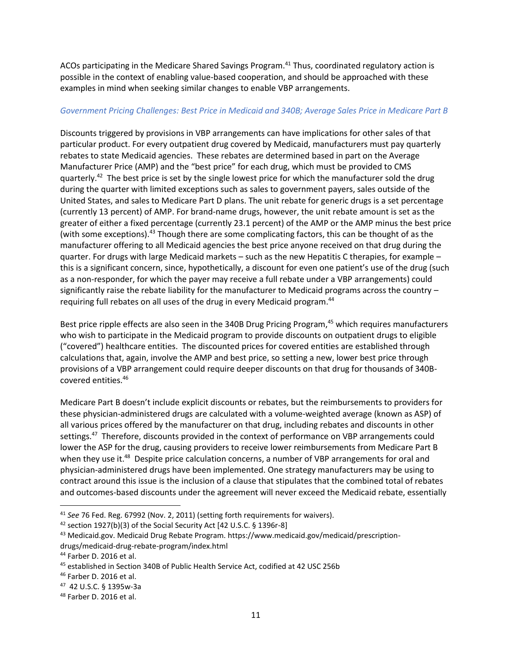ACOs participating in the Medicare Shared Savings Program.<sup>41</sup> Thus, coordinated regulatory action is possible in the context of enabling value-based cooperation, and should be approached with these examples in mind when seeking similar changes to enable VBP arrangements.

#### *Government Pricing Challenges: Best Price in Medicaid and 340B; Average Sales Price in Medicare Part B*

Discounts triggered by provisions in VBP arrangements can have implications for other sales of that particular product. For every outpatient drug covered by Medicaid, manufacturers must pay quarterly rebates to state Medicaid agencies. These rebates are determined based in part on the Average Manufacturer Price (AMP) and the "best price" for each drug, which must be provided to CMS quarterly.<sup>42</sup> The best price is set by the single lowest price for which the manufacturer sold the drug during the quarter with limited exceptions such as sales to government payers, sales outside of the United States, and sales to Medicare Part D plans. The unit rebate for generic drugs is a set percentage (currently 13 percent) of AMP. For brand-name drugs, however, the unit rebate amount is set as the greater of either a fixed percentage (currently 23.1 percent) of the AMP or the AMP minus the best price (with some exceptions).<sup>43</sup> Though there are some complicating factors, this can be thought of as the manufacturer offering to all Medicaid agencies the best price anyone received on that drug during the quarter. For drugs with large Medicaid markets – such as the new Hepatitis C therapies, for example – this is a significant concern, since, hypothetically, a discount for even one patient's use of the drug (such as a non-responder, for which the payer may receive a full rebate under a VBP arrangements) could significantly raise the rebate liability for the manufacturer to Medicaid programs across the country – requiring full rebates on all uses of the drug in every Medicaid program.<sup>44</sup>

Best price ripple effects are also seen in the 340B Drug Pricing Program,<sup>45</sup> which requires manufacturers who wish to participate in the Medicaid program to provide discounts on outpatient drugs to eligible ("covered") healthcare entities. The discounted prices for covered entities are established through calculations that, again, involve the AMP and best price, so setting a new, lower best price through provisions of a VBP arrangement could require deeper discounts on that drug for thousands of 340Bcovered entities.<sup>46</sup>

Medicare Part B doesn't include explicit discounts or rebates, but the reimbursements to providers for these physician-administered drugs are calculated with a volume-weighted average (known as ASP) of all various prices offered by the manufacturer on that drug, including rebates and discounts in other settings.<sup>47</sup> Therefore, discounts provided in the context of performance on VBP arrangements could lower the ASP for the drug, causing providers to receive lower reimbursements from Medicare Part B when they use it.<sup>48</sup> Despite price calculation concerns, a number of VBP arrangements for oral and physician-administered drugs have been implemented. One strategy manufacturers may be using to contract around this issue is the inclusion of a clause that stipulates that the combined total of rebates and outcomes-based discounts under the agreement will never exceed the Medicaid rebate, essentially

<sup>41</sup> *See* 76 Fed. Reg. 67992 (Nov. 2, 2011) (setting forth requirements for waivers).

<sup>&</sup>lt;sup>42</sup> section 1927(b)(3) of the Social Security Act [42 U.S.C. § 1396r-8]

<sup>&</sup>lt;sup>43</sup> Medicaid.gov. Medicaid Drug Rebate Program. https://www.medicaid.gov/medicaid/prescriptiondrugs/medicaid-drug-rebate-program/index.html

<sup>44</sup> Farber D. 2016 et al.

<sup>45</sup> established in Section 340B of Public Health Service Act, codified at 42 USC 256b

<sup>46</sup> Farber D. 2016 et al.

<sup>47</sup> 42 U.S.C. § 1395w-3a

<sup>48</sup> Farber D. 2016 et al.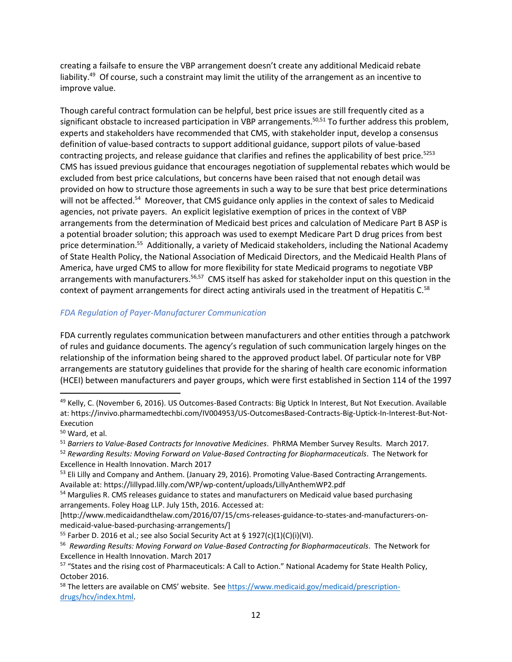creating a failsafe to ensure the VBP arrangement doesn't create any additional Medicaid rebate liability.<sup>49</sup> Of course, such a constraint may limit the utility of the arrangement as an incentive to improve value.

Though careful contract formulation can be helpful, best price issues are still frequently cited as a significant obstacle to increased participation in VBP arrangements.<sup>50,51</sup> To further address this problem, experts and stakeholders have recommended that CMS, with stakeholder input, develop a consensus definition of value-based contracts to support additional guidance, support pilots of value-based contracting projects, and release guidance that clarifies and refines the applicability of best price.<sup>5253</sup> CMS has issued previous guidance that encourages negotiation of supplemental rebates which would be excluded from best price calculations, but concerns have been raised that not enough detail was provided on how to structure those agreements in such a way to be sure that best price determinations will not be affected.<sup>54</sup> Moreover, that CMS guidance only applies in the context of sales to Medicaid agencies, not private payers. An explicit legislative exemption of prices in the context of VBP arrangements from the determination of Medicaid best prices and calculation of Medicare Part B ASP is a potential broader solution; this approach was used to exempt Medicare Part D drug prices from best price determination.<sup>55</sup> Additionally, a variety of Medicaid stakeholders, including the National Academy of State Health Policy, the National Association of Medicaid Directors, and the Medicaid Health Plans of America, have urged CMS to allow for more flexibility for state Medicaid programs to negotiate VBP arrangements with manufacturers.<sup>56,57</sup> CMS itself has asked for stakeholder input on this question in the context of payment arrangements for direct acting antivirals used in the treatment of Hepatitis C.<sup>58</sup>

# *FDA Regulation of Payer-Manufacturer Communication*

FDA currently regulates communication between manufacturers and other entities through a patchwork of rules and guidance documents. The agency's regulation of such communication largely hinges on the relationship of the information being shared to the approved product label. Of particular note for VBP arrangements are statutory guidelines that provide for the sharing of health care economic information (HCEI) between manufacturers and payer groups, which were first established in Section 114 of the 1997

<sup>&</sup>lt;sup>49</sup> Kelly, C. (November 6, 2016). US Outcomes-Based Contracts: Big Uptick In Interest, But Not Execution. Available at: https://invivo.pharmamedtechbi.com/IV004953/US-OutcomesBased-Contracts-Big-Uptick-In-Interest-But-Not-Execution

<sup>50</sup> Ward, et al.

<sup>51</sup> *Barriers to Value-Based Contracts for Innovative Medicines*. PhRMA Member Survey Results. March 2017.

<sup>52</sup> *Rewarding Results: Moving Forward on Value-Based Contracting for Biopharmaceuticals*. The Network for Excellence in Health Innovation. March 2017

<sup>&</sup>lt;sup>53</sup> Eli Lilly and Company and Anthem. (January 29, 2016). Promoting Value-Based Contracting Arrangements. Available at: https://lillypad.lilly.com/WP/wp-content/uploads/LillyAnthemWP2.pdf

<sup>&</sup>lt;sup>54</sup> Margulies R. CMS releases guidance to states and manufacturers on Medicaid value based purchasing arrangements. Foley Hoag LLP. July 15th, 2016. Accessed at:

<sup>[</sup>http://www.medicaidandthelaw.com/2016/07/15/cms-releases-guidance-to-states-and-manufacturers-onmedicaid-value-based-purchasing-arrangements/]

<sup>&</sup>lt;sup>55</sup> Farber D. 2016 et al.; see also Social Security Act at § 1927(c)(1)(C)(i)(VI).

<sup>&</sup>lt;sup>56</sup> *Rewarding Results: Moving Forward on Value-Based Contracting for Biopharmaceuticals. The Network for* Excellence in Health Innovation. March 2017

<sup>57</sup> "States and the rising cost of Pharmaceuticals: A Call to Action." National Academy for State Health Policy, October 2016.

<sup>&</sup>lt;sup>58</sup> The letters are available on CMS' website. See [https://www.medicaid.gov/medicaid/prescription](https://www.medicaid.gov/medicaid/prescription-drugs/hcv/index.html)[drugs/hcv/index.html.](https://www.medicaid.gov/medicaid/prescription-drugs/hcv/index.html)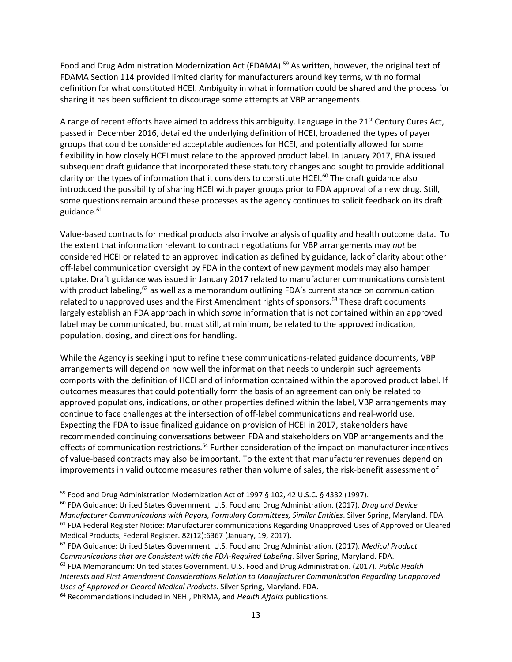Food and Drug Administration Modernization Act (FDAMA).<sup>59</sup> As written, however, the original text of FDAMA Section 114 provided limited clarity for manufacturers around key terms, with no formal definition for what constituted HCEI. Ambiguity in what information could be shared and the process for sharing it has been sufficient to discourage some attempts at VBP arrangements.

A range of recent efforts have aimed to address this ambiguity. Language in the  $21<sup>st</sup>$  Century Cures Act, passed in December 2016, detailed the underlying definition of HCEI, broadened the types of payer groups that could be considered acceptable audiences for HCEI, and potentially allowed for some flexibility in how closely HCEI must relate to the approved product label. In January 2017, FDA issued subsequent draft guidance that incorporated these statutory changes and sought to provide additional clarity on the types of information that it considers to constitute HCEI.<sup>60</sup> The draft guidance also introduced the possibility of sharing HCEI with payer groups prior to FDA approval of a new drug. Still, some questions remain around these processes as the agency continues to solicit feedback on its draft guidance.<sup>61</sup>

Value-based contracts for medical products also involve analysis of quality and health outcome data. To the extent that information relevant to contract negotiations for VBP arrangements may *not* be considered HCEI or related to an approved indication as defined by guidance, lack of clarity about other off-label communication oversight by FDA in the context of new payment models may also hamper uptake. Draft guidance was issued in January 2017 related to manufacturer communications consistent with product labeling, $62$  as well as a memorandum outlining FDA's current stance on communication related to unapproved uses and the First Amendment rights of sponsors.<sup>63</sup> These draft documents largely establish an FDA approach in which *some* information that is not contained within an approved label may be communicated, but must still, at minimum, be related to the approved indication, population, dosing, and directions for handling.

While the Agency is seeking input to refine these communications-related guidance documents, VBP arrangements will depend on how well the information that needs to underpin such agreements comports with the definition of HCEI and of information contained within the approved product label. If outcomes measures that could potentially form the basis of an agreement can only be related to approved populations, indications, or other properties defined within the label, VBP arrangements may continue to face challenges at the intersection of off-label communications and real-world use. Expecting the FDA to issue finalized guidance on provision of HCEI in 2017, stakeholders have recommended continuing conversations between FDA and stakeholders on VBP arrangements and the effects of communication restrictions.<sup>64</sup> Further consideration of the impact on manufacturer incentives of value-based contracts may also be important. To the extent that manufacturer revenues depend on improvements in valid outcome measures rather than volume of sales, the risk-benefit assessment of

 $\overline{a}$ 

<sup>59</sup> Food and Drug Administration Modernization Act of 1997 § 102, 42 U.S.C. § 4332 (1997).

<sup>60</sup> FDA Guidance: United States Government. U.S. Food and Drug Administration. (2017). *Drug and Device Manufacturer Communications with Payors, Formulary Committees, Similar Entities*. Silver Spring, Maryland. FDA. <sup>61</sup> FDA Federal Register Notice: Manufacturer communications Regarding Unapproved Uses of Approved or Cleared Medical Products, Federal Register. 82(12):6367 (January, 19, 2017).

<sup>62</sup> FDA Guidance: United States Government. U.S. Food and Drug Administration. (2017). *Medical Product Communications that are Consistent with the FDA-Required Labeling*. Silver Spring, Maryland. FDA.

<sup>63</sup> FDA Memorandum: United States Government. U.S. Food and Drug Administration. (2017). *Public Health Interests and First Amendment Considerations Relation to Manufacturer Communication Regarding Unapproved Uses of Approved or Cleared Medical Products.* Silver Spring, Maryland. FDA.

<sup>64</sup> Recommendations included in NEHI, PhRMA, and *Health Affairs* publications.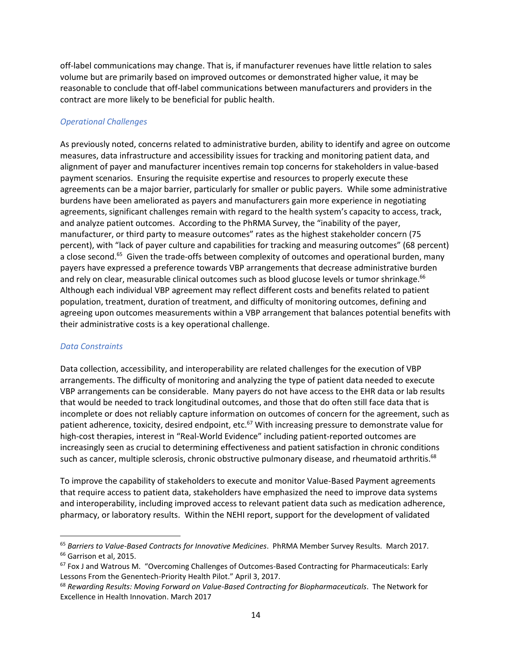off-label communications may change. That is, if manufacturer revenues have little relation to sales volume but are primarily based on improved outcomes or demonstrated higher value, it may be reasonable to conclude that off-label communications between manufacturers and providers in the contract are more likely to be beneficial for public health.

## *Operational Challenges*

As previously noted, concerns related to administrative burden, ability to identify and agree on outcome measures, data infrastructure and accessibility issues for tracking and monitoring patient data, and alignment of payer and manufacturer incentives remain top concerns for stakeholders in value-based payment scenarios. Ensuring the requisite expertise and resources to properly execute these agreements can be a major barrier, particularly for smaller or public payers. While some administrative burdens have been ameliorated as payers and manufacturers gain more experience in negotiating agreements, significant challenges remain with regard to the health system's capacity to access, track, and analyze patient outcomes. According to the PhRMA Survey, the "inability of the payer, manufacturer, or third party to measure outcomes" rates as the highest stakeholder concern (75 percent), with "lack of payer culture and capabilities for tracking and measuring outcomes" (68 percent) a close second.<sup>65</sup> Given the trade-offs between complexity of outcomes and operational burden, many payers have expressed a preference towards VBP arrangements that decrease administrative burden and rely on clear, measurable clinical outcomes such as blood glucose levels or tumor shrinkage.<sup>66</sup> Although each individual VBP agreement may reflect different costs and benefits related to patient population, treatment, duration of treatment, and difficulty of monitoring outcomes, defining and agreeing upon outcomes measurements within a VBP arrangement that balances potential benefits with their administrative costs is a key operational challenge.

#### *Data Constraints*

 $\overline{a}$ 

Data collection, accessibility, and interoperability are related challenges for the execution of VBP arrangements. The difficulty of monitoring and analyzing the type of patient data needed to execute VBP arrangements can be considerable. Many payers do not have access to the EHR data or lab results that would be needed to track longitudinal outcomes, and those that do often still face data that is incomplete or does not reliably capture information on outcomes of concern for the agreement, such as patient adherence, toxicity, desired endpoint, etc.<sup>67</sup> With increasing pressure to demonstrate value for high-cost therapies, interest in "Real-World Evidence" including patient-reported outcomes are increasingly seen as crucial to determining effectiveness and patient satisfaction in chronic conditions such as cancer, multiple sclerosis, chronic obstructive pulmonary disease, and rheumatoid arthritis.<sup>68</sup>

To improve the capability of stakeholders to execute and monitor Value-Based Payment agreements that require access to patient data, stakeholders have emphasized the need to improve data systems and interoperability, including improved access to relevant patient data such as medication adherence, pharmacy, or laboratory results. Within the NEHI report, support for the development of validated

<sup>65</sup> *Barriers to Value-Based Contracts for Innovative Medicines*. PhRMA Member Survey Results. March 2017. <sup>66</sup> Garrison et al, 2015.

<sup>&</sup>lt;sup>67</sup> Fox J and Watrous M. "Overcoming Challenges of Outcomes-Based Contracting for Pharmaceuticals: Early Lessons From the Genentech-Priority Health Pilot." April 3, 2017.

<sup>68</sup> *Rewarding Results: Moving Forward on Value-Based Contracting for Biopharmaceuticals*. The Network for Excellence in Health Innovation. March 2017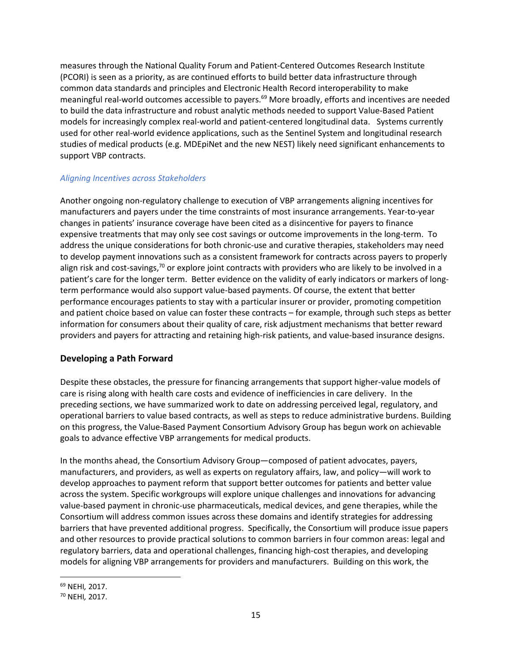measures through the National Quality Forum and Patient-Centered Outcomes Research Institute (PCORI) is seen as a priority, as are continued efforts to build better data infrastructure through common data standards and principles and Electronic Health Record interoperability to make meaningful real-world outcomes accessible to payers.<sup>69</sup> More broadly, efforts and incentives are needed to build the data infrastructure and robust analytic methods needed to support Value-Based Patient models for increasingly complex real-world and patient-centered longitudinal data. Systems currently used for other real-world evidence applications, such as the Sentinel System and longitudinal research studies of medical products (e.g. MDEpiNet and the new NEST) likely need significant enhancements to support VBP contracts.

### *Aligning Incentives across Stakeholders*

Another ongoing non-regulatory challenge to execution of VBP arrangements aligning incentives for manufacturers and payers under the time constraints of most insurance arrangements. Year-to-year changes in patients' insurance coverage have been cited as a disincentive for payers to finance expensive treatments that may only see cost savings or outcome improvements in the long-term. To address the unique considerations for both chronic-use and curative therapies, stakeholders may need to develop payment innovations such as a consistent framework for contracts across payers to properly align risk and cost-savings,<sup>70</sup> or explore joint contracts with providers who are likely to be involved in a patient's care for the longer term. Better evidence on the validity of early indicators or markers of longterm performance would also support value-based payments. Of course, the extent that better performance encourages patients to stay with a particular insurer or provider, promoting competition and patient choice based on value can foster these contracts – for example, through such steps as better information for consumers about their quality of care, risk adjustment mechanisms that better reward providers and payers for attracting and retaining high-risk patients, and value-based insurance designs.

# **Developing a Path Forward**

Despite these obstacles, the pressure for financing arrangements that support higher-value models of care is rising along with health care costs and evidence of inefficiencies in care delivery. In the preceding sections, we have summarized work to date on addressing perceived legal, regulatory, and operational barriers to value based contracts, as well as steps to reduce administrative burdens. Building on this progress, the Value-Based Payment Consortium Advisory Group has begun work on achievable goals to advance effective VBP arrangements for medical products.

In the months ahead, the Consortium Advisory Group—composed of patient advocates, payers, manufacturers, and providers, as well as experts on regulatory affairs, law, and policy—will work to develop approaches to payment reform that support better outcomes for patients and better value across the system. Specific workgroups will explore unique challenges and innovations for advancing value-based payment in chronic-use pharmaceuticals, medical devices, and gene therapies, while the Consortium will address common issues across these domains and identify strategies for addressing barriers that have prevented additional progress. Specifically, the Consortium will produce issue papers and other resources to provide practical solutions to common barriers in four common areas: legal and regulatory barriers, data and operational challenges, financing high-cost therapies, and developing models for aligning VBP arrangements for providers and manufacturers. Building on this work, the

<sup>69</sup> NEHI*,* 2017.

<sup>70</sup> NEHI*,* 2017.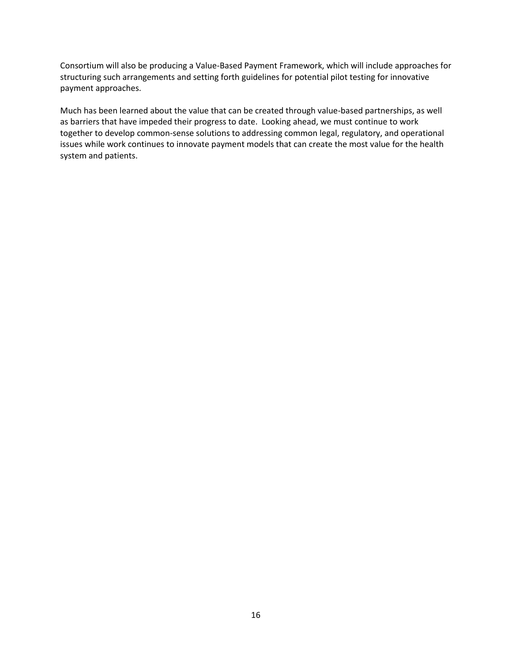Consortium will also be producing a Value-Based Payment Framework, which will include approaches for structuring such arrangements and setting forth guidelines for potential pilot testing for innovative payment approaches.

Much has been learned about the value that can be created through value-based partnerships, as well as barriers that have impeded their progress to date. Looking ahead, we must continue to work together to develop common-sense solutions to addressing common legal, regulatory, and operational issues while work continues to innovate payment models that can create the most value for the health system and patients.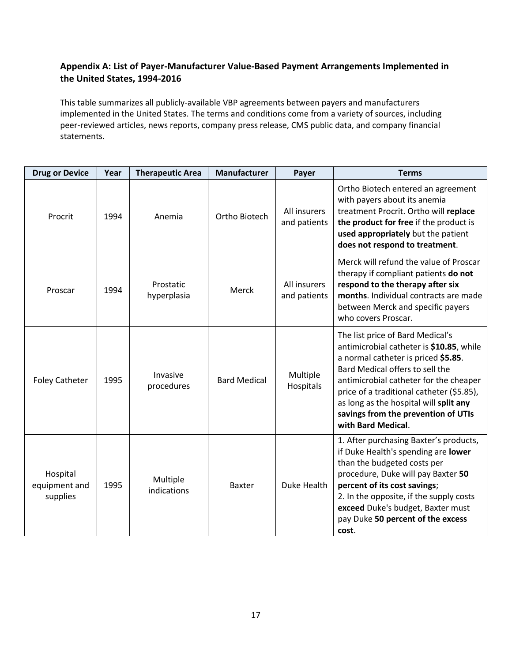# **Appendix A: List of Payer-Manufacturer Value-Based Payment Arrangements Implemented in the United States, 1994-2016**

This table summarizes all publicly-available VBP agreements between payers and manufacturers implemented in the United States. The terms and conditions come from a variety of sources, including peer-reviewed articles, news reports, company press release, CMS public data, and company financial statements.

| <b>Drug or Device</b>                 | Year | <b>Therapeutic Area</b>  | <b>Manufacturer</b> | Payer                        | <b>Terms</b>                                                                                                                                                                                                                                                                                                                                         |
|---------------------------------------|------|--------------------------|---------------------|------------------------------|------------------------------------------------------------------------------------------------------------------------------------------------------------------------------------------------------------------------------------------------------------------------------------------------------------------------------------------------------|
| Procrit                               | 1994 | Anemia                   | Ortho Biotech       | All insurers<br>and patients | Ortho Biotech entered an agreement<br>with payers about its anemia<br>treatment Procrit. Ortho will replace<br>the product for free if the product is<br>used appropriately but the patient<br>does not respond to treatment.                                                                                                                        |
| Proscar                               | 1994 | Prostatic<br>hyperplasia | Merck               | All insurers<br>and patients | Merck will refund the value of Proscar<br>therapy if compliant patients do not<br>respond to the therapy after six<br>months. Individual contracts are made<br>between Merck and specific payers<br>who covers Proscar.                                                                                                                              |
| <b>Foley Catheter</b>                 | 1995 | Invasive<br>procedures   | <b>Bard Medical</b> | Multiple<br>Hospitals        | The list price of Bard Medical's<br>antimicrobial catheter is \$10.85, while<br>a normal catheter is priced \$5.85.<br>Bard Medical offers to sell the<br>antimicrobial catheter for the cheaper<br>price of a traditional catheter (\$5.85),<br>as long as the hospital will split any<br>savings from the prevention of UTIs<br>with Bard Medical. |
| Hospital<br>equipment and<br>supplies | 1995 | Multiple<br>indications  | <b>Baxter</b>       | Duke Health                  | 1. After purchasing Baxter's products,<br>if Duke Health's spending are lower<br>than the budgeted costs per<br>procedure, Duke will pay Baxter 50<br>percent of its cost savings;<br>2. In the opposite, if the supply costs<br>exceed Duke's budget, Baxter must<br>pay Duke 50 percent of the excess<br>cost.                                     |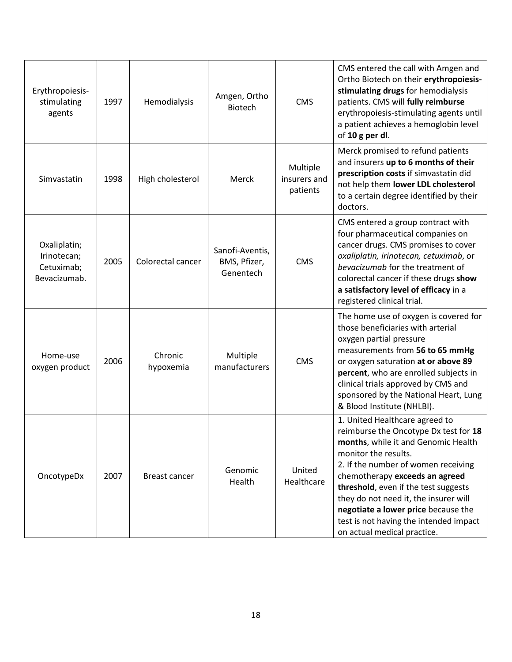| Erythropoiesis-<br>stimulating<br>agents                  | 1997 | Hemodialysis         | Amgen, Ortho<br><b>Biotech</b>               | <b>CMS</b>                           | CMS entered the call with Amgen and<br>Ortho Biotech on their erythropoiesis-<br>stimulating drugs for hemodialysis<br>patients. CMS will fully reimburse<br>erythropoiesis-stimulating agents until<br>a patient achieves a hemoglobin level<br>of 10 g per dl.                                                                                                                                                 |
|-----------------------------------------------------------|------|----------------------|----------------------------------------------|--------------------------------------|------------------------------------------------------------------------------------------------------------------------------------------------------------------------------------------------------------------------------------------------------------------------------------------------------------------------------------------------------------------------------------------------------------------|
| Simvastatin                                               | 1998 | High cholesterol     | Merck                                        | Multiple<br>insurers and<br>patients | Merck promised to refund patients<br>and insurers up to 6 months of their<br>prescription costs if simvastatin did<br>not help them lower LDL cholesterol<br>to a certain degree identified by their<br>doctors.                                                                                                                                                                                                 |
| Oxaliplatin;<br>Irinotecan;<br>Cetuximab;<br>Bevacizumab. | 2005 | Colorectal cancer    | Sanofi-Aventis,<br>BMS, Pfizer,<br>Genentech | <b>CMS</b>                           | CMS entered a group contract with<br>four pharmaceutical companies on<br>cancer drugs. CMS promises to cover<br>oxaliplatin, irinotecan, cetuximab, or<br>bevacizumab for the treatment of<br>colorectal cancer if these drugs show<br>a satisfactory level of efficacy in a<br>registered clinical trial.                                                                                                       |
| Home-use<br>oxygen product                                | 2006 | Chronic<br>hypoxemia | Multiple<br>manufacturers                    | <b>CMS</b>                           | The home use of oxygen is covered for<br>those beneficiaries with arterial<br>oxygen partial pressure<br>measurements from 56 to 65 mmHg<br>or oxygen saturation at or above 89<br>percent, who are enrolled subjects in<br>clinical trials approved by CMS and<br>sponsored by the National Heart, Lung<br>& Blood Institute (NHLBI).                                                                           |
| OncotypeDx                                                | 2007 | Breast cancer        | Genomic<br>Health                            | United<br>Healthcare                 | 1. United Healthcare agreed to<br>reimburse the Oncotype Dx test for 18<br>months, while it and Genomic Health<br>monitor the results.<br>2. If the number of women receiving<br>chemotherapy exceeds an agreed<br>threshold, even if the test suggests<br>they do not need it, the insurer will<br>negotiate a lower price because the<br>test is not having the intended impact<br>on actual medical practice. |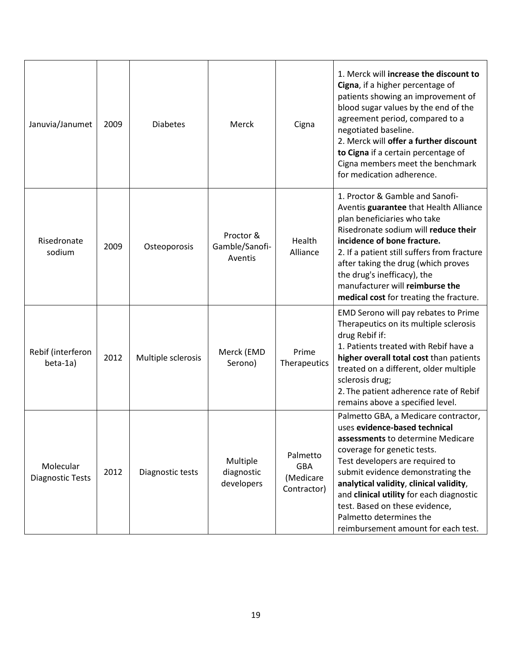| Januvia/Janumet                      | 2009 | <b>Diabetes</b>    | Merck                                  | Cigna                                              | 1. Merck will increase the discount to<br>Cigna, if a higher percentage of<br>patients showing an improvement of<br>blood sugar values by the end of the<br>agreement period, compared to a<br>negotiated baseline.<br>2. Merck will offer a further discount<br>to Cigna if a certain percentage of<br>Cigna members meet the benchmark<br>for medication adherence.                                        |
|--------------------------------------|------|--------------------|----------------------------------------|----------------------------------------------------|--------------------------------------------------------------------------------------------------------------------------------------------------------------------------------------------------------------------------------------------------------------------------------------------------------------------------------------------------------------------------------------------------------------|
| Risedronate<br>sodium                | 2009 | Osteoporosis       | Proctor &<br>Gamble/Sanofi-<br>Aventis | Health<br>Alliance                                 | 1. Proctor & Gamble and Sanofi-<br>Aventis guarantee that Health Alliance<br>plan beneficiaries who take<br>Risedronate sodium will reduce their<br>incidence of bone fracture.<br>2. If a patient still suffers from fracture<br>after taking the drug (which proves<br>the drug's inefficacy), the<br>manufacturer will reimburse the<br>medical cost for treating the fracture.                           |
| Rebif (interferon<br>beta-1a)        | 2012 | Multiple sclerosis | Merck (EMD<br>Serono)                  | Prime<br>Therapeutics                              | EMD Serono will pay rebates to Prime<br>Therapeutics on its multiple sclerosis<br>drug Rebif if:<br>1. Patients treated with Rebif have a<br>higher overall total cost than patients<br>treated on a different, older multiple<br>sclerosis drug;<br>2. The patient adherence rate of Rebif<br>remains above a specified level.                                                                              |
| Molecular<br><b>Diagnostic Tests</b> | 2012 | Diagnostic tests   | Multiple<br>diagnostic<br>developers   | Palmetto<br><b>GBA</b><br>(Medicare<br>Contractor) | Palmetto GBA, a Medicare contractor,<br>uses evidence-based technical<br>assessments to determine Medicare<br>coverage for genetic tests.<br>Test developers are required to<br>submit evidence demonstrating the<br>analytical validity, clinical validity,<br>and clinical utility for each diagnostic<br>test. Based on these evidence,<br>Palmetto determines the<br>reimbursement amount for each test. |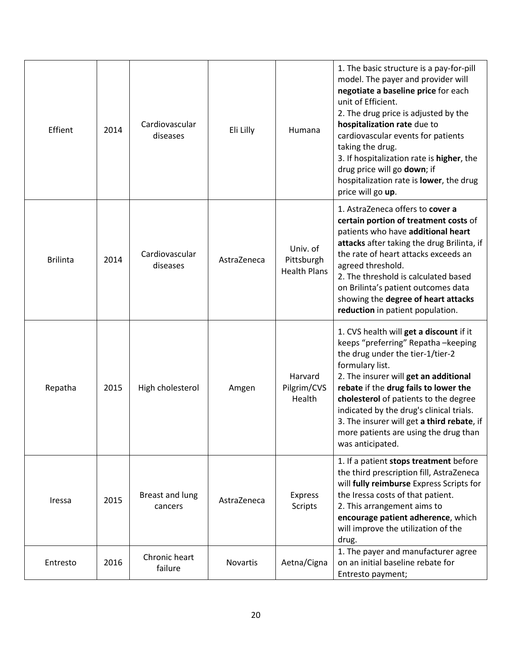| Effient         | 2014 | Cardiovascular<br>diseases | Eli Lilly       | Humana                                        | 1. The basic structure is a pay-for-pill<br>model. The payer and provider will<br>negotiate a baseline price for each<br>unit of Efficient.<br>2. The drug price is adjusted by the<br>hospitalization rate due to<br>cardiovascular events for patients<br>taking the drug.<br>3. If hospitalization rate is higher, the<br>drug price will go down; if<br>hospitalization rate is lower, the drug<br>price will go up. |
|-----------------|------|----------------------------|-----------------|-----------------------------------------------|--------------------------------------------------------------------------------------------------------------------------------------------------------------------------------------------------------------------------------------------------------------------------------------------------------------------------------------------------------------------------------------------------------------------------|
| <b>Brilinta</b> | 2014 | Cardiovascular<br>diseases | AstraZeneca     | Univ. of<br>Pittsburgh<br><b>Health Plans</b> | 1. AstraZeneca offers to cover a<br>certain portion of treatment costs of<br>patients who have additional heart<br>attacks after taking the drug Brilinta, if<br>the rate of heart attacks exceeds an<br>agreed threshold.<br>2. The threshold is calculated based<br>on Brilinta's patient outcomes data<br>showing the degree of heart attacks<br>reduction in patient population.                                     |
| Repatha         | 2015 | High cholesterol           | Amgen           | Harvard<br>Pilgrim/CVS<br>Health              | 1. CVS health will get a discount if it<br>keeps "preferring" Repatha -keeping<br>the drug under the tier-1/tier-2<br>formulary list.<br>2. The insurer will get an additional<br>rebate if the drug fails to lower the<br>cholesterol of patients to the degree<br>indicated by the drug's clinical trials.<br>3. The insurer will get a third rebate, if<br>more patients are using the drug than<br>was anticipated.  |
| Iressa          | 2015 | Breast and lung<br>cancers | AstraZeneca     | Express<br><b>Scripts</b>                     | 1. If a patient stops treatment before<br>the third prescription fill, AstraZeneca<br>will fully reimburse Express Scripts for<br>the Iressa costs of that patient.<br>2. This arrangement aims to<br>encourage patient adherence, which<br>will improve the utilization of the<br>drug.                                                                                                                                 |
| Entresto        | 2016 | Chronic heart<br>failure   | <b>Novartis</b> | Aetna/Cigna                                   | 1. The payer and manufacturer agree<br>on an initial baseline rebate for<br>Entresto payment;                                                                                                                                                                                                                                                                                                                            |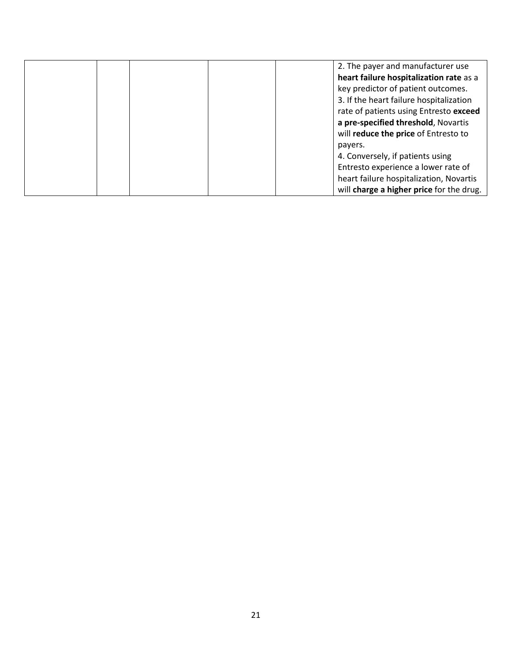|  |  | 2. The payer and manufacturer use        |
|--|--|------------------------------------------|
|  |  | heart failure hospitalization rate as a  |
|  |  | key predictor of patient outcomes.       |
|  |  | 3. If the heart failure hospitalization  |
|  |  | rate of patients using Entresto exceed   |
|  |  | a pre-specified threshold, Novartis      |
|  |  | will reduce the price of Entresto to     |
|  |  | payers.                                  |
|  |  | 4. Conversely, if patients using         |
|  |  | Entresto experience a lower rate of      |
|  |  | heart failure hospitalization, Novartis  |
|  |  | will charge a higher price for the drug. |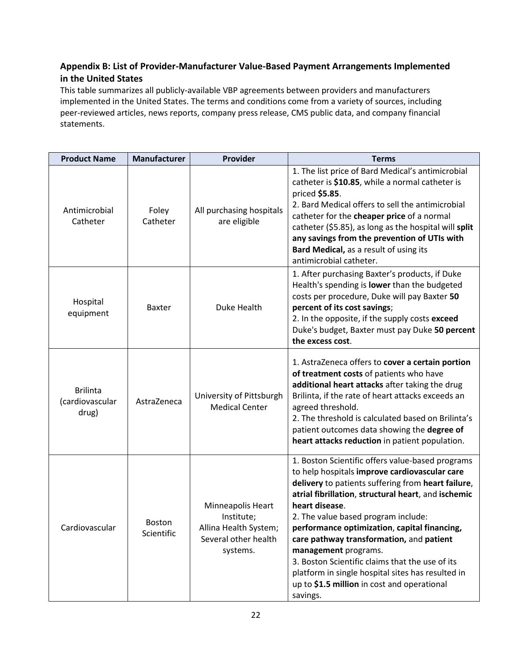# **Appendix B: List of Provider-Manufacturer Value-Based Payment Arrangements Implemented in the United States**

This table summarizes all publicly-available VBP agreements between providers and manufacturers implemented in the United States. The terms and conditions come from a variety of sources, including peer-reviewed articles, news reports, company press release, CMS public data, and company financial statements.

| <b>Product Name</b>                         | <b>Manufacturer</b>         | Provider                                                                                     | <b>Terms</b>                                                                                                                                                                                                                                                                                                                                                                                                                                                                                                                                                   |
|---------------------------------------------|-----------------------------|----------------------------------------------------------------------------------------------|----------------------------------------------------------------------------------------------------------------------------------------------------------------------------------------------------------------------------------------------------------------------------------------------------------------------------------------------------------------------------------------------------------------------------------------------------------------------------------------------------------------------------------------------------------------|
| Antimicrobial<br>Catheter                   | Foley<br>Catheter           | All purchasing hospitals<br>are eligible                                                     | 1. The list price of Bard Medical's antimicrobial<br>catheter is \$10.85, while a normal catheter is<br>priced \$5.85.<br>2. Bard Medical offers to sell the antimicrobial<br>catheter for the cheaper price of a normal<br>catheter (\$5.85), as long as the hospital will split<br>any savings from the prevention of UTIs with<br>Bard Medical, as a result of using its<br>antimicrobial catheter.                                                                                                                                                         |
| Hospital<br>equipment                       | <b>Baxter</b>               | <b>Duke Health</b>                                                                           | 1. After purchasing Baxter's products, if Duke<br>Health's spending is lower than the budgeted<br>costs per procedure, Duke will pay Baxter 50<br>percent of its cost savings;<br>2. In the opposite, if the supply costs exceed<br>Duke's budget, Baxter must pay Duke 50 percent<br>the excess cost.                                                                                                                                                                                                                                                         |
| <b>Brilinta</b><br>(cardiovascular<br>drug) | AstraZeneca                 | University of Pittsburgh<br><b>Medical Center</b>                                            | 1. AstraZeneca offers to cover a certain portion<br>of treatment costs of patients who have<br>additional heart attacks after taking the drug<br>Brilinta, if the rate of heart attacks exceeds an<br>agreed threshold.<br>2. The threshold is calculated based on Brilinta's<br>patient outcomes data showing the degree of<br>heart attacks reduction in patient population.                                                                                                                                                                                 |
| Cardiovascular                              | <b>Boston</b><br>Scientific | Minneapolis Heart<br>Institute;<br>Allina Health System;<br>Several other health<br>systems. | 1. Boston Scientific offers value-based programs<br>to help hospitals improve cardiovascular care<br>delivery to patients suffering from heart failure,<br>atrial fibrillation, structural heart, and ischemic<br>heart disease.<br>2. The value based program include:<br>performance optimization, capital financing,<br>care pathway transformation, and patient<br>management programs.<br>3. Boston Scientific claims that the use of its<br>platform in single hospital sites has resulted in<br>up to \$1.5 million in cost and operational<br>savings. |